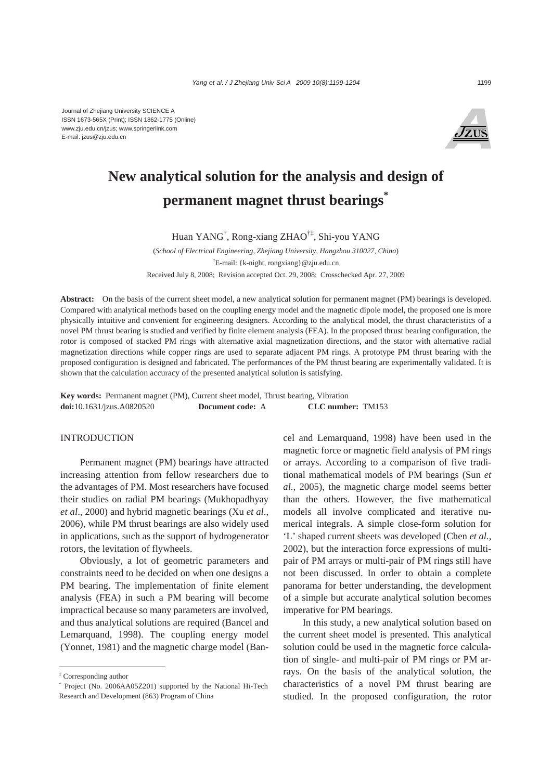

# **New analytical solution for the analysis and design of permanent magnet thrust bearings\***

Huan YANG† , Rong-xiang ZHAO†‡, Shi-you YANG

(*School of Electrical Engineering, Zhejiang University, Hangzhou 310027, China*) † E-mail: {k-night, rongxiang}@zju.edu.cn Received July 8, 2008; Revision accepted Oct. 29, 2008; Crosschecked Apr. 27, 2009

**Abstract:** On the basis of the current sheet model, a new analytical solution for permanent magnet (PM) bearings is developed. Compared with analytical methods based on the coupling energy model and the magnetic dipole model, the proposed one is more physically intuitive and convenient for engineering designers. According to the analytical model, the thrust characteristics of a novel PM thrust bearing is studied and verified by finite element analysis (FEA). In the proposed thrust bearing configuration, the rotor is composed of stacked PM rings with alternative axial magnetization directions, and the stator with alternative radial magnetization directions while copper rings are used to separate adjacent PM rings. A prototype PM thrust bearing with the proposed configuration is designed and fabricated. The performances of the PM thrust bearing are experimentally validated. It is shown that the calculation accuracy of the presented analytical solution is satisfying.

**Key words:** Permanent magnet (PM), Current sheet model, Thrust bearing, Vibration **doi:**10.1631/jzus.A0820520 **Document code:** A **CLC number:** TM153

## **INTRODUCTION**

Permanent magnet (PM) bearings have attracted increasing attention from fellow researchers due to the advantages of PM. Most researchers have focused their studies on radial PM bearings (Mukhopadhyay *et al*., 2000) and hybrid magnetic bearings (Xu *et al*., 2006), while PM thrust bearings are also widely used in applications, such as the support of hydrogenerator rotors, the levitation of flywheels.

Obviously, a lot of geometric parameters and constraints need to be decided on when one designs a PM bearing. The implementation of finite element analysis (FEA) in such a PM bearing will become impractical because so many parameters are involved, and thus analytical solutions are required (Bancel and Lemarquand, 1998). The coupling energy model (Yonnet, 1981) and the magnetic charge model (Bancel and Lemarquand, 1998) have been used in the magnetic force or magnetic field analysis of PM rings or arrays. According to a comparison of five traditional mathematical models of PM bearings (Sun *et al.*, 2005), the magnetic charge model seems better than the others. However, the five mathematical models all involve complicated and iterative numerical integrals. A simple close-form solution for 'L' shaped current sheets was developed (Chen *et al.*, 2002), but the interaction force expressions of multipair of PM arrays or multi-pair of PM rings still have not been discussed. In order to obtain a complete panorama for better understanding, the development of a simple but accurate analytical solution becomes imperative for PM bearings.

In this study, a new analytical solution based on the current sheet model is presented. This analytical solution could be used in the magnetic force calculation of single- and multi-pair of PM rings or PM arrays. On the basis of the analytical solution, the characteristics of a novel PM thrust bearing are studied. In the proposed configuration, the rotor

<sup>‡</sup> Corresponding author

<sup>\*</sup> Project (No. 2006AA05Z201) supported by the National Hi-Tech Research and Development (863) Program of China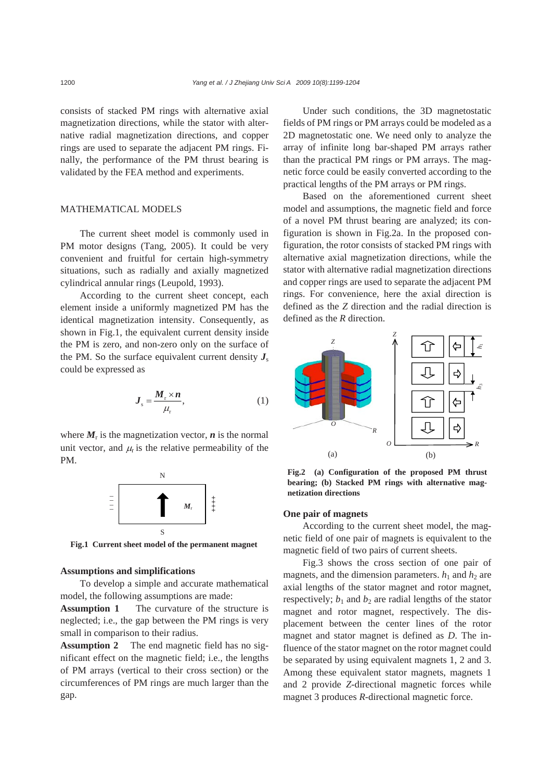consists of stacked PM rings with alternative axial magnetization directions, while the stator with alternative radial magnetization directions, and copper rings are used to separate the adjacent PM rings. Finally, the performance of the PM thrust bearing is validated by the FEA method and experiments.

# MATHEMATICAL MODELS

The current sheet model is commonly used in PM motor designs (Tang, 2005). It could be very convenient and fruitful for certain high-symmetry situations, such as radially and axially magnetized cylindrical annular rings (Leupold, 1993).

According to the current sheet concept, each element inside a uniformly magnetized PM has the identical magnetization intensity. Consequently, as shown in Fig.1, the equivalent current density inside the PM is zero, and non-zero only on the surface of the PM. So the surface equivalent current density  $J_s$ could be expressed as

$$
J_s = \frac{M_r \times n}{\mu_r},\tag{1}
$$

where  $M_r$  is the magnetization vector,  $n$  is the normal unit vector, and  $\mu_{\rm r}$  is the relative permeability of the PM.



## **Assumptions and simplifications**

To develop a simple and accurate mathematical model, the following assumptions are made:

**Assumption 1** The curvature of the structure is neglected; i.e., the gap between the PM rings is very small in comparison to their radius.

**Assumption 2** The end magnetic field has no significant effect on the magnetic field; i.e., the lengths of PM arrays (vertical to their cross section) or the circumferences of PM rings are much larger than the gap.

Under such conditions, the 3D magnetostatic fields of PM rings or PM arrays could be modeled as a 2D magnetostatic one. We need only to analyze the array of infinite long bar-shaped PM arrays rather than the practical PM rings or PM arrays. The magnetic force could be easily converted according to the practical lengths of the PM arrays or PM rings.

Based on the aforementioned current sheet model and assumptions, the magnetic field and force of a novel PM thrust bearing are analyzed; its configuration is shown in Fig.2a. In the proposed configuration, the rotor consists of stacked PM rings with alternative axial magnetization directions, while the stator with alternative radial magnetization directions and copper rings are used to separate the adjacent PM rings. For convenience, here the axial direction is defined as the *Z* direction and the radial direction is defined as the *R* direction.



**Fig.2 (a) Configuration of the proposed PM thrust bearing; (b) Stacked PM rings with alternative magnetization directions**

## **One pair of magnets**

According to the current sheet model, the magnetic field of one pair of magnets is equivalent to the magnetic field of two pairs of current sheets.

Fig.3 shows the cross section of one pair of magnets, and the dimension parameters.  $h_1$  and  $h_2$  are axial lengths of the stator magnet and rotor magnet, respectively;  $b_1$  and  $b_2$  are radial lengths of the stator magnet and rotor magnet, respectively. The displacement between the center lines of the rotor magnet and stator magnet is defined as *D*. The influence of the stator magnet on the rotor magnet could be separated by using equivalent magnets 1, 2 and 3. Among these equivalent stator magnets, magnets 1 and 2 provide *Z-*directional magnetic forces while magnet 3 produces *R-*directional magnetic force.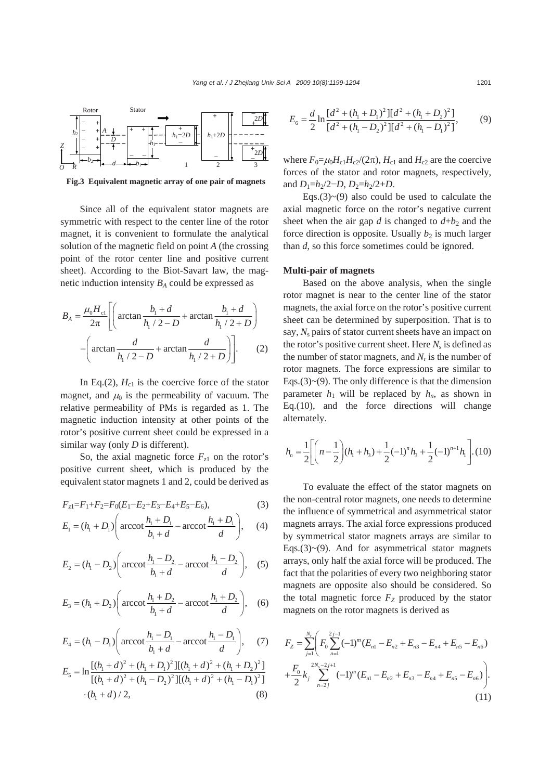

**Fig.3 Equivalent magnetic array of one pair of magnets** 

Since all of the equivalent stator magnets are symmetric with respect to the center line of the rotor magnet, it is convenient to formulate the analytical solution of the magnetic field on point *A* (the crossing point of the rotor center line and positive current sheet). According to the Biot-Savart law, the magnetic induction intensity  $B_A$  could be expressed as

$$
B_A = \frac{\mu_0 H_{\text{cl}}}{2\pi} \left[ \left( \arctan \frac{b_1 + d}{h_1 / 2 - D} + \arctan \frac{b_1 + d}{h_1 / 2 + D} \right) - \left( \arctan \frac{d}{h_1 / 2 - D} + \arctan \frac{d}{h_1 / 2 + D} \right) \right].
$$
 (2)

In Eq.(2),  $H_{c1}$  is the coercive force of the stator magnet, and  $\mu_0$  is the permeability of vacuum. The relative permeability of PMs is regarded as 1. The magnetic induction intensity at other points of the rotor's positive current sheet could be expressed in a similar way (only *D* is different).

So, the axial magnetic force  $F_{z1}$  on the rotor's positive current sheet, which is produced by the equivalent stator magnets 1 and 2, could be derived as

$$
F_{z1} = F_1 + F_2 = F_0(E_1 - E_2 + E_3 - E_4 + E_5 - E_6),
$$
\n(3)

$$
E_1 = (h_1 + D_1) \left( \arccot \frac{h_1 + D_1}{b_1 + d} - \operatorname{arccot} \frac{h_1 + D_1}{d} \right), \quad (4)
$$

$$
E_2 = (h_1 - D_2) \left( \arccot \frac{h_1 - D_2}{b_1 + d} - \arccot \frac{h_1 - D_2}{d} \right), \quad (5)
$$

$$
E_3 = (h_1 + D_2) \left( \arccot \frac{h_1 + D_2}{b_1 + d} - \arccot \frac{h_1 + D_2}{d} \right), \quad (6)
$$

$$
E_4 = (h_1 - D_1) \left( \arccot \frac{h_1 - D_1}{b_1 + d} - \arccot \frac{h_1 - D_1}{d} \right), \quad (7)
$$

$$
E_5 = \ln \frac{[(b_1 + d)^2 + (h_1 + D_1)^2][(b_1 + d)^2 + (h_1 + D_2)^2]}{[(b_1 + d)^2 + (h_1 - D_2)^2][(b_1 + d)^2 + (h_1 - D_1)^2]}
$$
  
· $(b_1 + d)/2,$  (8)

$$
E_6 = \frac{d}{2} \ln \frac{[d^2 + (h_1 + D_1)^2][d^2 + (h_1 + D_2)^2]}{[d^2 + (h_1 - D_2)^2][d^2 + (h_1 - D_1)^2]},
$$
(9)

where  $F_0 = \mu_0 H_{c1} H_{c2} / (2\pi)$ ,  $H_{c1}$  and  $H_{c2}$  are the coercive forces of the stator and rotor magnets, respectively, and  $D_1=h_2/2-D$ ,  $D_2=h_2/2+D$ .

Eqs.(3) $\sim$ (9) also could be used to calculate the axial magnetic force on the rotor's negative current sheet when the air gap  $d$  is changed to  $d+b_2$  and the force direction is opposite. Usually  $b_2$  is much larger than *d*, so this force sometimes could be ignored.

## **Multi-pair of magnets**

Based on the above analysis, when the single rotor magnet is near to the center line of the stator magnets, the axial force on the rotor's positive current sheet can be determined by superposition. That is to say, N<sub>s</sub> pairs of stator current sheets have an impact on the rotor's positive current sheet. Here  $N_s$  is defined as the number of stator magnets, and  $N_r$  is the number of rotor magnets. The force expressions are similar to Eqs.(3) $\sim$ (9). The only difference is that the dimension parameter  $h_1$  will be replaced by  $h_n$ , as shown in Eq.(10), and the force directions will change alternately.

$$
h_n = \frac{1}{2} \left[ \left( n - \frac{1}{2} \right) (h_1 + h_3) + \frac{1}{2} (-1)^n h_3 + \frac{1}{2} (-1)^{n+1} h_1 \right] . (10)
$$

To evaluate the effect of the stator magnets on the non-central rotor magnets, one needs to determine the influence of symmetrical and asymmetrical stator magnets arrays. The axial force expressions produced by symmetrical stator magnets arrays are similar to Eqs.(3) $\sim$ (9). And for asymmetrical stator magnets arrays, only half the axial force will be produced. The fact that the polarities of every two neighboring stator magnets are opposite also should be considered. So the total magnetic force  $F_Z$  produced by the stator magnets on the rotor magnets is derived as

$$
F_Z = \sum_{j=1}^{N_t} \left( F_0 \sum_{n=1}^{2j-1} (-1)^m (E_{n1} - E_{n2} + E_{n3} - E_{n4} + E_{n5} - E_{n6}) + \frac{F_0}{2} k_j \sum_{n=2j}^{2N_s - 2j+1} (-1)^m (E_{n1} - E_{n2} + E_{n3} - E_{n4} + E_{n5} - E_{n6}) \right). \tag{11}
$$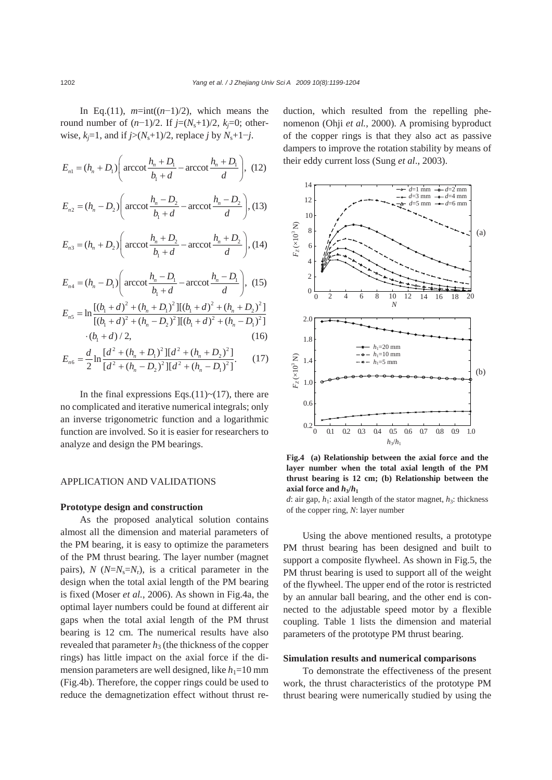In Eq.(11),  $m=\text{int}((n-1)/2)$ , which means the round number of  $(n-1)/2$ . If  $j=(N_s+1)/2$ ,  $k_j=0$ ; otherwise,  $k_j$ =1, and if  $j$ >( $N_s$ +1)/2, replace  $j$  by  $N_s$ +1− $j$ .

$$
E_{n1} = (h_n + D_1) \left( \operatorname{arccot} \frac{h_n + D_1}{b_1 + d} - \operatorname{arccot} \frac{h_n + D_1}{d} \right), (12)
$$
  

$$
E_{n2} = (h_n - D_2) \left( \operatorname{arccot} \frac{h_n - D_2}{b_1 + d} - \operatorname{arccot} \frac{h_n - D_2}{d} \right), (13)
$$

$$
E_{n3} = (h_n + D_2) \left( \arccot \frac{h_n + D_2}{b_1 + d} - \arccot \frac{h_n + D_2}{d} \right), (14)
$$

$$
E_{n4} = (h_n - D_1) \left( \arccot \frac{h_n - D_1}{b_1 + d} - \arccot \frac{h_n - D_1}{d} \right), \tag{15}
$$

$$
E_{n5} = \ln \frac{[(b_1 + d)^2 + (h_n + D_1)^2][(b_1 + d)^2 + (h_n + D_2)^2]}{[(b_1 + d)^2 + (h_n - D_2)^2][(b_1 + d)^2 + (h_n - D_1)^2]}
$$
  
· $(b_1 + d) / 2,$  (16)

$$
E_{n6} = \frac{d}{2} \ln \frac{[d^2 + (h_n + D_1)^2][d^2 + (h_n + D_2)^2]}{[d^2 + (h_n - D_2)^2][d^2 + (h_n - D_1)^2]}.
$$
 (17)

In the final expressions Eqs.(11) $\sim$ (17), there are no complicated and iterative numerical integrals; only an inverse trigonometric function and a logarithmic function are involved. So it is easier for researchers to analyze and design the PM bearings.

# APPLICATION AND VALIDATIONS

## **Prototype design and construction**

As the proposed analytical solution contains almost all the dimension and material parameters of the PM bearing, it is easy to optimize the parameters of the PM thrust bearing. The layer number (magnet pairs),  $N$  ( $N=N<sub>s</sub>=N<sub>r</sub>$ ), is a critical parameter in the design when the total axial length of the PM bearing is fixed (Moser *et al.*, 2006). As shown in Fig.4a, the optimal layer numbers could be found at different air gaps when the total axial length of the PM thrust bearing is 12 cm. The numerical results have also revealed that parameter  $h_3$  (the thickness of the copper rings) has little impact on the axial force if the dimension parameters are well designed, like  $h_1=10$  mm (Fig.4b). Therefore, the copper rings could be used to reduce the demagnetization effect without thrust reduction, which resulted from the repelling phenomenon (Ohji *et al.*, 2000). A promising byproduct of the copper rings is that they also act as passive dampers to improve the rotation stability by means of their eddy current loss (Sung *et al*., 2003).



**Fig.4 (a) Relationship between the axial force and the layer number when the total axial length of the PM thrust bearing is 12 cm; (b) Relationship between the**  axial force and  $h_3/h_1$ 

*d*: air gap,  $h_1$ : axial length of the stator magnet,  $h_3$ : thickness of the copper ring, *N*: layer number

Using the above mentioned results, a prototype PM thrust bearing has been designed and built to support a composite flywheel. As shown in Fig.5, the PM thrust bearing is used to support all of the weight of the flywheel. The upper end of the rotor is restricted by an annular ball bearing, and the other end is connected to the adjustable speed motor by a flexible coupling. Table 1 lists the dimension and material parameters of the prototype PM thrust bearing.

## **Simulation results and numerical comparisons**

To demonstrate the effectiveness of the present work, the thrust characteristics of the prototype PM thrust bearing were numerically studied by using the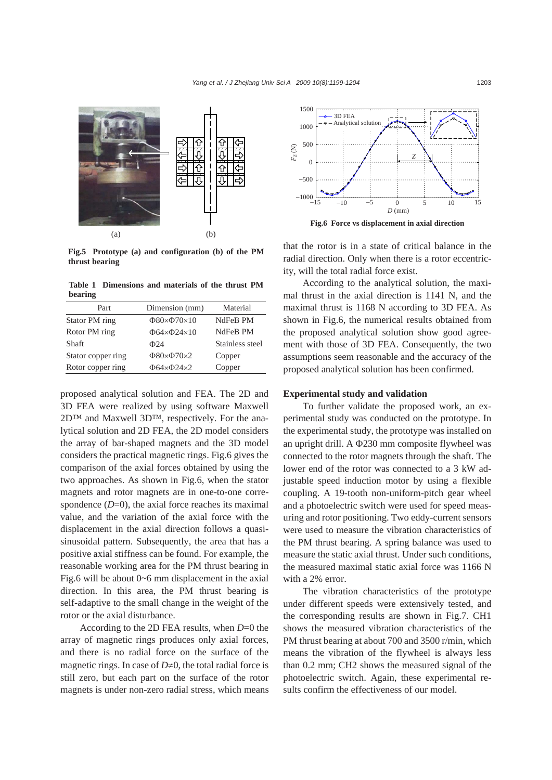

**Fig.5 Prototype (a) and configuration (b) of the PM thrust bearing**

**Table 1 Dimensions and materials of the thrust PM bearing** 

| Part               | Dimension (mm)          | Material        |
|--------------------|-------------------------|-----------------|
| Stator PM ring     | $\Phi$ 80× $\Phi$ 70×10 | NdFeB PM        |
| Rotor PM ring      | $\Phi$ 64× $\Phi$ 24×10 | NdFeB PM        |
| <b>Shaft</b>       | $\Phi$ 24               | Stainless steel |
| Stator copper ring | $\Phi$ 80× $\Phi$ 70×2  | Copper          |
| Rotor copper ring  | $\Phi$ 64× $\Phi$ 24×2  | Copper          |

proposed analytical solution and FEA. The 2D and 3D FEA were realized by using software Maxwell 2D<sup>™</sup> and Maxwell 3D™, respectively. For the analytical solution and 2D FEA, the 2D model considers the array of bar-shaped magnets and the 3D model considers the practical magnetic rings. Fig.6 gives the comparison of the axial forces obtained by using the two approaches. As shown in Fig.6, when the stator magnets and rotor magnets are in one-to-one correspondence  $(D=0)$ , the axial force reaches its maximal value, and the variation of the axial force with the displacement in the axial direction follows a quasisinusoidal pattern. Subsequently, the area that has a positive axial stiffness can be found. For example, the reasonable working area for the PM thrust bearing in Fig.6 will be about 0~6 mm displacement in the axial direction. In this area, the PM thrust bearing is self-adaptive to the small change in the weight of the rotor or the axial disturbance.

According to the 2D FEA results, when *D*=0 the array of magnetic rings produces only axial forces, and there is no radial force on the surface of the magnetic rings. In case of  $D\neq 0$ , the total radial force is still zero, but each part on the surface of the rotor magnets is under non-zero radial stress, which means



**Fig.6 Force vs displacement in axial direction**

that the rotor is in a state of critical balance in the radial direction. Only when there is a rotor eccentricity, will the total radial force exist.

According to the analytical solution, the maximal thrust in the axial direction is 1141 N, and the maximal thrust is 1168 N according to 3D FEA. As shown in Fig.6, the numerical results obtained from the proposed analytical solution show good agreement with those of 3D FEA. Consequently, the two assumptions seem reasonable and the accuracy of the proposed analytical solution has been confirmed.

### **Experimental study and validation**

To further validate the proposed work, an experimental study was conducted on the prototype. In the experimental study, the prototype was installed on an upright drill. A Φ230 mm composite flywheel was connected to the rotor magnets through the shaft. The lower end of the rotor was connected to a 3 kW adjustable speed induction motor by using a flexible coupling. A 19-tooth non-uniform-pitch gear wheel and a photoelectric switch were used for speed measuring and rotor positioning. Two eddy-current sensors were used to measure the vibration characteristics of the PM thrust bearing. A spring balance was used to measure the static axial thrust. Under such conditions, the measured maximal static axial force was 1166 N with a 2% error.

The vibration characteristics of the prototype under different speeds were extensively tested, and the corresponding results are shown in Fig.7. CH1 shows the measured vibration characteristics of the PM thrust bearing at about 700 and 3500 r/min, which means the vibration of the flywheel is always less than 0.2 mm; CH2 shows the measured signal of the photoelectric switch. Again, these experimental results confirm the effectiveness of our model.